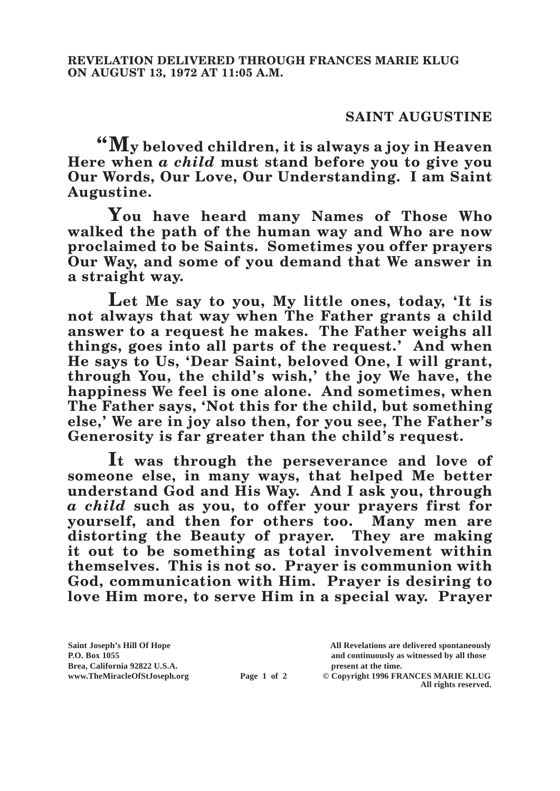## **SAINT AUGUSTINE**

**"My beloved children, it is always a joy in Heaven Here when** *a child* **must stand before you to give you Our Words, Our Love, Our Understanding. I am Saint Augustine.**

**You have heard many Names of Those Who walked the path of the human way and Who are now proclaimed to be Saints. Sometimes you offer prayers Our Way, and some of you demand that We answer in a straight way.**

**Let Me say to you, My little ones, today, 'It is not always that way when The Father grants a child answer to a request he makes. The Father weighs all things, goes into all parts of the request.' And when He says to Us, 'Dear Saint, beloved One, I will grant, through You, the child's wish,' the joy We have, the happiness We feel is one alone. And sometimes, when The Father says, 'Not this for the child, but something else,' We are in joy also then, for you see, The Father's Generosity is far greater than the child's request.**

**It was through the perseverance and love of someone else, in many ways, that helped Me better understand God and His Way. And I ask you, through**  *a child* **such as you, to offer your prayers first for yourself, and then for others too. Many men are distorting the Beauty of prayer. They are making it out to be something as total involvement within themselves. This is not so. Prayer is communion with God, communication with Him. Prayer is desiring to love Him more, to serve Him in a special way. Prayer** 

**Saint Joseph's Hill Of Hope All Revelations are delivered spontaneously P.O. Box 1055 and continuously as witnessed by all those Brea, California 92822 U.S.A. present at the time.**<br> **present at the time.**<br> **present at the time.**<br> **present at the time.**<br> **present at the time.**<br> **present at the time.** 

**Page 1 of 2** © Copyright 1996 FRANCES MARIE KLUG **All rights reserved.**